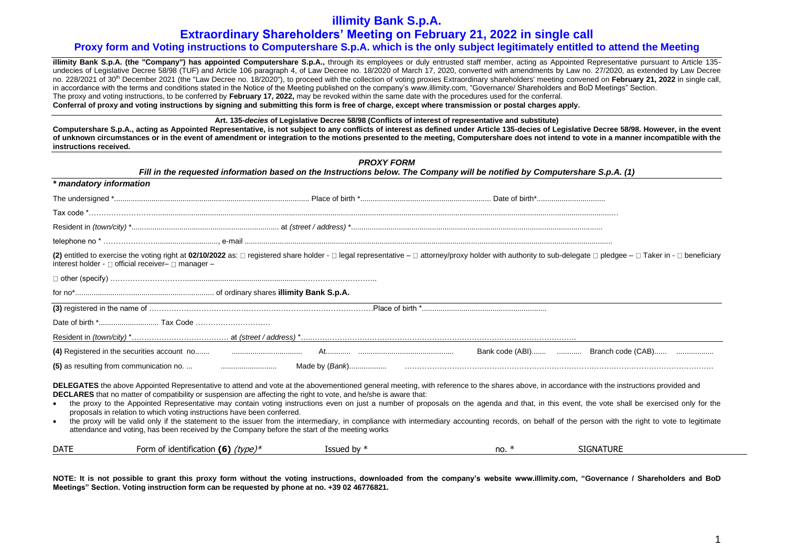## **Extraordinary Shareholders' Meeting on February 21, 2022 in single call**

## **Proxy form and Voting instructions to Computershare S.p.A. which is the only subject legitimately entitled to attend the Meeting**

**illimity Bank S.p.A. (the "Company") has appointed Computershare S.p.A.,** through its employees or duly entrusted staff member, acting as Appointed Representative pursuant to Article 135undecies of Legislative Decree 58/98 (TUF) and Article 106 paragraph 4, of Law Decree no. 18/2020 of March 17, 2020, converted with amendments by Law no. 27/2020, as extended by Law Decree no. 228/2021 of 30th December 2021 (the "Law Decree no. 18/2020"), to proceed with the collection of voting proxies Extraordinary shareholders' meeting convened on **February 21, 2022** in single call, in accordance with the terms and conditions stated in the Notice of the Meeting published on the company's www.illimity.com, "Governance/ Shareholders and BoD Meetings" Section. The proxy and voting instructions, to be conferred by **February 17, 2022,** may be revoked within the same date with the procedures used for the conferral. **Conferral of proxy and voting instructions by signing and submitting this form is free of charge, except where transmission or postal charges apply.**

**Art. 135-***decies* **of Legislative Decree 58/98 (Conflicts of interest of representative and substitute)** 

**Computershare S.p.A., acting as Appointed Representative, is not subject to any conflicts of interest as defined under Article 135-decies of Legislative Decree 58/98. However, in the event of unknown circumstances or in the event of amendment or integration to the motions presented to the meeting, Computershare does not intend to vote in a manner incompatible with the instructions received.**

| <b>PROXY FORM</b><br>Fill in the requested information based on the Instructions below. The Company will be notified by Computershare S.p.A. (1) |                                                                                                                                                                                                                                                                                                                                                                                                                                                                                              |               |         |                                                                                                                                                                                                                                                                                                                                                                                                     |  |  |  |
|--------------------------------------------------------------------------------------------------------------------------------------------------|----------------------------------------------------------------------------------------------------------------------------------------------------------------------------------------------------------------------------------------------------------------------------------------------------------------------------------------------------------------------------------------------------------------------------------------------------------------------------------------------|---------------|---------|-----------------------------------------------------------------------------------------------------------------------------------------------------------------------------------------------------------------------------------------------------------------------------------------------------------------------------------------------------------------------------------------------------|--|--|--|
| * mandatory information                                                                                                                          |                                                                                                                                                                                                                                                                                                                                                                                                                                                                                              |               |         |                                                                                                                                                                                                                                                                                                                                                                                                     |  |  |  |
|                                                                                                                                                  |                                                                                                                                                                                                                                                                                                                                                                                                                                                                                              |               |         |                                                                                                                                                                                                                                                                                                                                                                                                     |  |  |  |
|                                                                                                                                                  |                                                                                                                                                                                                                                                                                                                                                                                                                                                                                              |               |         |                                                                                                                                                                                                                                                                                                                                                                                                     |  |  |  |
|                                                                                                                                                  |                                                                                                                                                                                                                                                                                                                                                                                                                                                                                              |               |         |                                                                                                                                                                                                                                                                                                                                                                                                     |  |  |  |
|                                                                                                                                                  |                                                                                                                                                                                                                                                                                                                                                                                                                                                                                              |               |         |                                                                                                                                                                                                                                                                                                                                                                                                     |  |  |  |
|                                                                                                                                                  | interest holder - □ official receiver- □ manager -                                                                                                                                                                                                                                                                                                                                                                                                                                           |               |         | (2) entitled to exercise the voting right at 02/10/2022 as: □ registered share holder - □ legal representative - □ attorney/proxy holder with authority to sub-delegate □ pledgee - □ Taker in - □ beneficiary                                                                                                                                                                                      |  |  |  |
|                                                                                                                                                  |                                                                                                                                                                                                                                                                                                                                                                                                                                                                                              |               |         |                                                                                                                                                                                                                                                                                                                                                                                                     |  |  |  |
|                                                                                                                                                  |                                                                                                                                                                                                                                                                                                                                                                                                                                                                                              |               |         |                                                                                                                                                                                                                                                                                                                                                                                                     |  |  |  |
|                                                                                                                                                  |                                                                                                                                                                                                                                                                                                                                                                                                                                                                                              |               |         |                                                                                                                                                                                                                                                                                                                                                                                                     |  |  |  |
|                                                                                                                                                  |                                                                                                                                                                                                                                                                                                                                                                                                                                                                                              |               |         |                                                                                                                                                                                                                                                                                                                                                                                                     |  |  |  |
|                                                                                                                                                  |                                                                                                                                                                                                                                                                                                                                                                                                                                                                                              |               |         |                                                                                                                                                                                                                                                                                                                                                                                                     |  |  |  |
|                                                                                                                                                  |                                                                                                                                                                                                                                                                                                                                                                                                                                                                                              |               |         |                                                                                                                                                                                                                                                                                                                                                                                                     |  |  |  |
|                                                                                                                                                  |                                                                                                                                                                                                                                                                                                                                                                                                                                                                                              |               |         |                                                                                                                                                                                                                                                                                                                                                                                                     |  |  |  |
| $\bullet$                                                                                                                                        | DELEGATES the above Appointed Representative to attend and vote at the abovementioned general meeting, with reference to the shares above, in accordance with the instructions provided and<br>DECLARES that no matter of compatibility or suspension are affecting the right to vote, and he/she is aware that:<br>proposals in relation to which voting instructions have been conferred.<br>attendance and voting, has been received by the Company before the start of the meeting works |               |         | the proxy to the Appointed Representative may contain voting instructions even on just a number of proposals on the agenda and that, in this event, the vote shall be exercised only for the<br>the proxy will be valid only if the statement to the issuer from the intermediary, in compliance with intermediary accounting records, on behalf of the person with the right to vote to legitimate |  |  |  |
| <b>DATE</b>                                                                                                                                      | Form of identification (6) $(type)*$                                                                                                                                                                                                                                                                                                                                                                                                                                                         | Issued by $*$ | no. $*$ | <b>SIGNATURE</b>                                                                                                                                                                                                                                                                                                                                                                                    |  |  |  |

**NOTE: It is not possible to grant this proxy form without the voting instructions, downloaded from the company's website www.illimity.com, "Governance / Shareholders and BoD Meetings" Section. Voting instruction form can be requested by phone at no. +39 02 46776821.**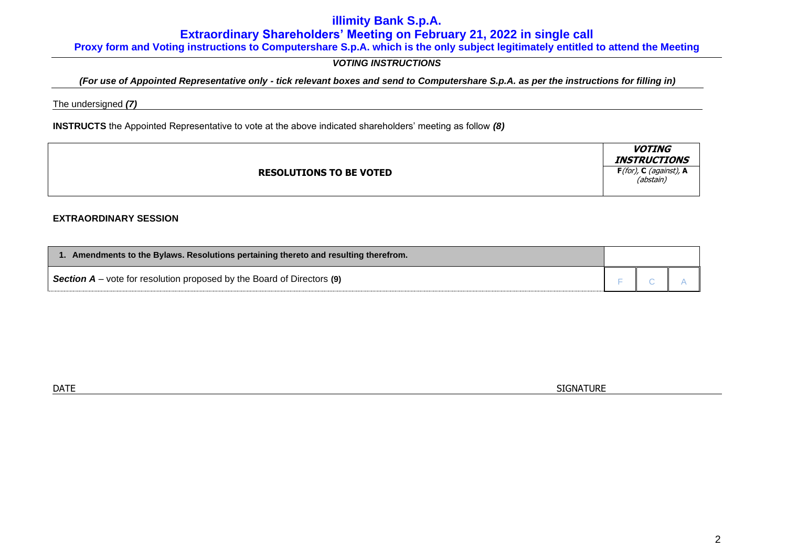# **Extraordinary Shareholders' Meeting on February 21, 2022 in single call**

**Proxy form and Voting instructions to Computershare S.p.A. which is the only subject legitimately entitled to attend the Meeting**

# *VOTING INSTRUCTIONS*

## *(For use of Appointed Representative only - tick relevant boxes and send to Computershare S.p.A. as per the instructions for filling in)*

The undersigned *(7)*

**INSTRUCTS** the Appointed Representative to vote at the above indicated shareholders' meeting as follow *(8)*

|                                | <i><b>VOTING</b></i><br><b>INSTRUCTIONS</b> |
|--------------------------------|---------------------------------------------|
| <b>RESOLUTIONS TO BE VOTED</b> | $F($ for), C (against), A<br>(abstain)      |

### **EXTRAORDINARY SESSION**

| 1. Amendments to the Bylaws. Resolutions pertaining thereto and resulting therefrom.       |  |  |  |  |  |
|--------------------------------------------------------------------------------------------|--|--|--|--|--|
| <b>Section <math>A</math></b> – vote for resolution proposed by the Board of Directors (9) |  |  |  |  |  |

 $\blacksquare$  DATE  $\blacksquare$  SIGNATURE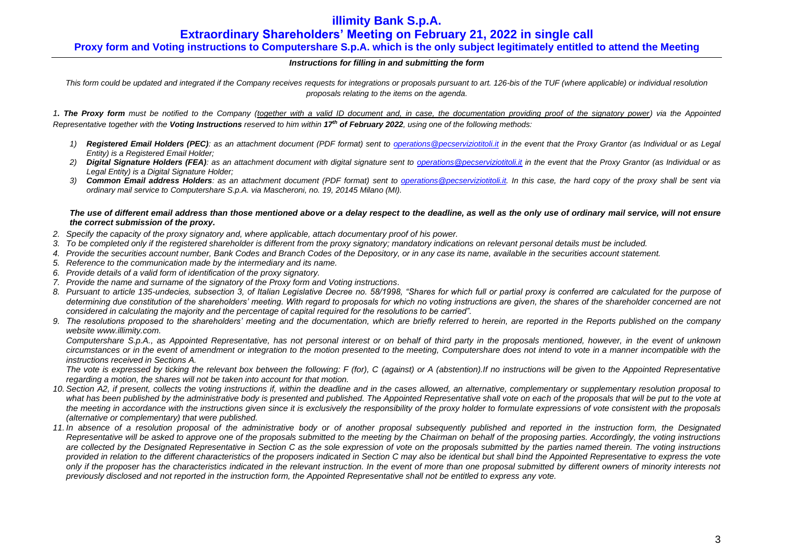# **Extraordinary Shareholders' Meeting on February 21, 2022 in single call**

## **Proxy form and Voting instructions to Computershare S.p.A. which is the only subject legitimately entitled to attend the Meeting**

### *Instructions for filling in and submitting the form*

*This form could be updated and integrated if the Company receives requests for integrations or proposals pursuant to art. 126-bis of the TUF (where applicable) or individual resolution proposals relating to the items on the agenda.*

*1. The Proxy form must be notified to the Company (together with a valid ID document and, in case, the documentation providing proof of the signatory power) via the Appointed Representative together with the Voting Instructions reserved to him within 17th of February 2022, using one of the following methods:*

- *1) Registered Email Holders (PEC): as an attachment document (PDF format) sent to [operations@pecserviziotitoli.it](mailto:operations@pecserviziotitoli.it) in the event that the Proxy Grantor (as Individual or as Legal Entity) is a Registered Email Holder;*
- *2) Digital Signature Holders (FEA): as an attachment document with digital signature sent to [operations@pecserviziotitoli.it](mailto:operations@pecserviziotitoli.it) in the event that the Proxy Grantor (as Individual or as Legal Entity) is a Digital Signature Holder;*
- *3) Common Email address Holders: as an attachment document (PDF format) sent to [operations@pecserviziotitoli.it.](mailto:operations@pecserviziotitoli.it) In this case, the hard copy of the proxy shall be sent via ordinary mail service to Computershare S.p.A. via Mascheroni, no. 19, 20145 Milano (MI).*

*The use of different email address than those mentioned above or a delay respect to the deadline, as well as the only use of ordinary mail service, will not ensure the correct submission of the proxy.*

- *2. Specify the capacity of the proxy signatory and, where applicable, attach documentary proof of his power.*
- *3. To be completed only if the registered shareholder is different from the proxy signatory; mandatory indications on relevant personal details must be included.*
- *4. Provide the securities account number, Bank Codes and Branch Codes of the Depository, or in any case its name, available in the securities account statement.*
- *5. Reference to the communication made by the intermediary and its name.*
- *6. Provide details of a valid form of identification of the proxy signatory.*
- *7. Provide the name and surname of the signatory of the Proxy form and Voting instructions.*
- *8. Pursuant to article 135-undecies, subsection 3, of Italian Legislative Decree no. 58/1998, "Shares for which full or partial proxy is conferred are calculated for the purpose of determining due constitution of the shareholders' meeting. With regard to proposals for which no voting instructions are given, the shares of the shareholder concerned are not considered in calculating the majority and the percentage of capital required for the resolutions to be carried".*
- *9. The resolutions proposed to the shareholders' meeting and the documentation, which are briefly referred to herein, are reported in the Reports published on the company website [www.illimity.com.](http://www.illimity.com/)*

*Computershare S.p.A., as Appointed Representative, has not personal interest or on behalf of third party in the proposals mentioned, however, in the event of unknown circumstances or in the event of amendment or integration to the motion presented to the meeting, Computershare does not intend to vote in a manner incompatible with the instructions received in Sections A.*

*The vote is expressed by ticking the relevant box between the following: F (for), C (against) or A (abstention).If no instructions will be given to the Appointed Representative regarding a motion, the shares will not be taken into account for that motion.*

- *10. Section A2, if present, collects the voting instructions if, within the deadline and in the cases allowed, an alternative, complementary or supplementary resolution proposal to*  what has been published by the administrative body is presented and published. The Appointed Representative shall vote on each of the proposals that will be put to the vote at *the meeting in accordance with the instructions given since it is exclusively the responsibility of the proxy holder to formulate expressions of vote consistent with the proposals (alternative or complementary) that were published.*
- *11. In absence of a resolution proposal of the administrative body or of another proposal subsequently published and reported in the instruction form, the Designated Representative will be asked to approve one of the proposals submitted to the meeting by the Chairman on behalf of the proposing parties. Accordingly, the voting instructions are collected by the Designated Representative in Section C as the sole expression of vote on the proposals submitted by the parties named therein. The voting instructions provided in relation to the different characteristics of the proposers indicated in Section C may also be identical but shall bind the Appointed Representative to express the vote only if the proposer has the characteristics indicated in the relevant instruction. In the event of more than one proposal submitted by different owners of minority interests not previously disclosed and not reported in the instruction form, the Appointed Representative shall not be entitled to express any vote.*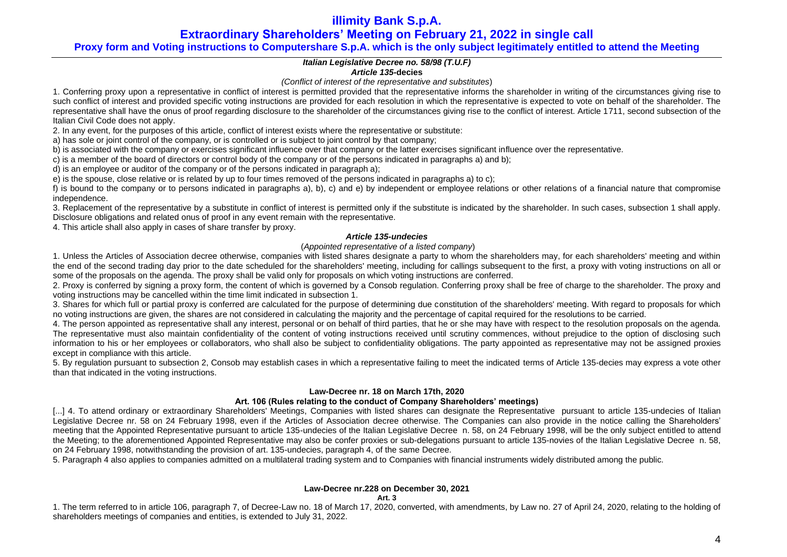**Extraordinary Shareholders' Meeting on February 21, 2022 in single call**

## **Proxy form and Voting instructions to Computershare S.p.A. which is the only subject legitimately entitled to attend the Meeting**

### *Italian Legislative Decree no. 58/98 (T.U.F)*

### *Article 135-***decies**

*(Conflict of interest of the representative and substitutes*)

1. Conferring proxy upon a representative in conflict of interest is permitted provided that the representative informs the shareholder in writing of the circumstances giving rise to such conflict of interest and provided specific voting instructions are provided for each resolution in which the representative is expected to vote on behalf of the shareholder. The representative shall have the onus of proof regarding disclosure to the shareholder of the circumstances giving rise to the conflict of interest. Article 1711, second subsection of the Italian Civil Code does not apply.

2. In any event, for the purposes of this article, conflict of interest exists where the representative or substitute:

a) has sole or joint control of the company, or is controlled or is subject to joint control by that company;

b) is associated with the company or exercises significant influence over that company or the latter exercises significant influence over the representative.

c) is a member of the board of directors or control body of the company or of the persons indicated in paragraphs a) and b);

d) is an employee or auditor of the company or of the persons indicated in paragraph a);

e) is the spouse, close relative or is related by up to four times removed of the persons indicated in paragraphs a) to c);

f) is bound to the company or to persons indicated in paragraphs a), b), c) and e) by independent or employee relations or other relations of a financial nature that compromise independence.

3. Replacement of the representative by a substitute in conflict of interest is permitted only if the substitute is indicated by the shareholder. In such cases, subsection 1 shall apply. Disclosure obligations and related onus of proof in any event remain with the representative.

4. This article shall also apply in cases of share transfer by proxy.

### *Article 135-undecies*

### (*Appointed representative of a listed company*)

1. Unless the Articles of Association decree otherwise, companies with listed shares designate a party to whom the shareholders may, for each shareholders' meeting and within the end of the second trading day prior to the date scheduled for the shareholders' meeting, including for callings subsequent to the first, a proxy with voting instructions on all or some of the proposals on the agenda. The proxy shall be valid only for proposals on which voting instructions are conferred.

2. Proxy is conferred by signing a proxy form, the content of which is governed by a Consob regulation. Conferring proxy shall be free of charge to the shareholder. The proxy and voting instructions may be cancelled within the time limit indicated in subsection 1.

3. Shares for which full or partial proxy is conferred are calculated for the purpose of determining due constitution of the shareholders' meeting. With regard to proposals for which no voting instructions are given, the shares are not considered in calculating the majority and the percentage of capital required for the resolutions to be carried.

4. The person appointed as representative shall any interest, personal or on behalf of third parties, that he or she may have with respect to the resolution proposals on the agenda. The representative must also maintain confidentiality of the content of voting instructions received until scrutiny commences, without prejudice to the option of disclosing such information to his or her employees or collaborators, who shall also be subject to confidentiality obligations. The party appointed as representative may not be assigned proxies except in compliance with this article.

5. By regulation pursuant to subsection 2, Consob may establish cases in which a representative failing to meet the indicated terms of Article 135-decies may express a vote other than that indicated in the voting instructions.

## **Law-Decree nr. 18 on March 17th, 2020**

### **Art. 106 (Rules relating to the conduct of Company Shareholders' meetings)**

[...] 4. To attend ordinary or extraordinary Shareholders' Meetings, Companies with listed shares can designate the Representative pursuant to article 135-undecies of Italian Legislative Decree nr. 58 on 24 February 1998, even if the Articles of Association decree otherwise. The Companies can also provide in the notice calling the Shareholders' meeting that the Appointed Representative pursuant to article 135-undecies of the Italian Legislative Decree n. 58, on 24 February 1998, will be the only subject entitled to attend the Meeting; to the aforementioned Appointed Representative may also be confer proxies or sub-delegations pursuant to article 135-novies of the Italian Legislative Decree n. 58, on 24 February 1998, notwithstanding the provision of art. 135-undecies, paragraph 4, of the same Decree.

5. Paragraph 4 also applies to companies admitted on a multilateral trading system and to Companies with financial instruments widely distributed among the public.

## **Law-Decree nr.228 on December 30, 2021**

**Art. 3**

1. The term referred to in article 106, paragraph 7, of Decree-Law no. 18 of March 17, 2020, converted, with amendments, by Law no. 27 of April 24, 2020, relating to the holding of shareholders meetings of companies and entities, is extended to July 31, 2022.